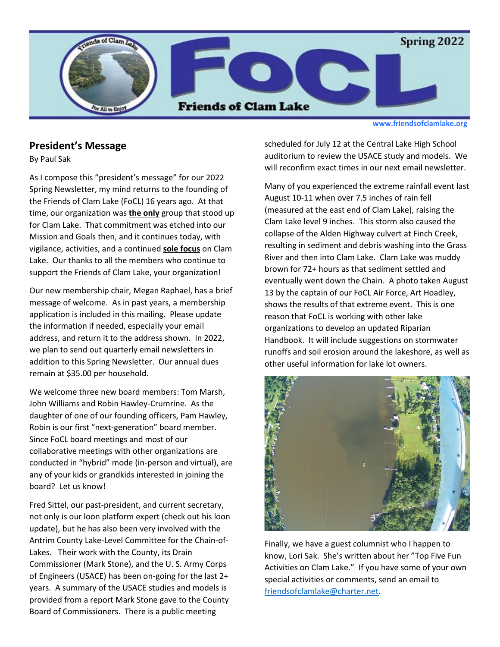

**www.friendsofclamlake.org**

#### **President's Message**

By Paul Sak

As I compose this "president's message" for our 2022 Spring Newsletter, my mind returns to the founding of the Friends of Clam Lake (FoCL) 16 years ago. At that time, our organization was **the only** group that stood up for Clam Lake. That commitment was etched into our Mission and Goals then, and it continues today, with vigilance, activities, and a continued **sole focus** on Clam Lake. Our thanks to all the members who continue to support the Friends of Clam Lake, your organization!

Our new membership chair, Megan Raphael, has a brief message of welcome. As in past years, a membership application is included in this mailing. Please update the information if needed, especially your email address, and return it to the address shown. In 2022, we plan to send out quarterly email newsletters in addition to this Spring Newsletter. Our annual dues remain at \$35.00 per household.

We welcome three new board members: Tom Marsh, John Williams and Robin Hawley-Crumrine. As the daughter of one of our founding officers, Pam Hawley, Robin is our first "next-generation" board member. Since FoCL board meetings and most of our collaborative meetings with other organizations are conducted in "hybrid" mode (in-person and virtual), are any of your kids or grandkids interested in joining the board? Let us know!

Fred Sittel, our past-president, and current secretary, not only is our loon platform expert (check out his loon update), but he has also been very involved with the Antrim County Lake-Level Committee for the Chain-of-Lakes. Their work with the County, its Drain Commissioner (Mark Stone), and the U. S. Army Corps of Engineers (USACE) has been on-going for the last 2+ years. A summary of the USACE studies and models is provided from a report Mark Stone gave to the County Board of Commissioners. There is a public meeting

scheduled for July 12 at the Central Lake High School auditorium to review the USACE study and models. We will reconfirm exact times in our next email newsletter.

Many of you experienced the extreme rainfall event last August 10-11 when over 7.5 inches of rain fell (measured at the east end of Clam Lake), raising the Clam Lake level 9 inches. This storm also caused the collapse of the Alden Highway culvert at Finch Creek, resulting in sediment and debris washing into the Grass River and then into Clam Lake. Clam Lake was muddy brown for 72+ hours as that sediment settled and eventually went down the Chain. A photo taken August 13 by the captain of our FoCL Air Force, Art Hoadley, shows the results of that extreme event. This is one reason that FoCL is working with other lake organizations to develop an updated Riparian Handbook. It will include suggestions on stormwater runoffs and soil erosion around the lakeshore, as well as other useful information for lake lot owners.



Finally, we have a guest columnist who I happen to know, Lori Sak. She's written about her "Top Five Fun Activities on Clam Lake." If you have some of your own special activities or comments, send an email to [friendsofclamlake@charter.net.](mailto:friendsofclamlake@charter.net)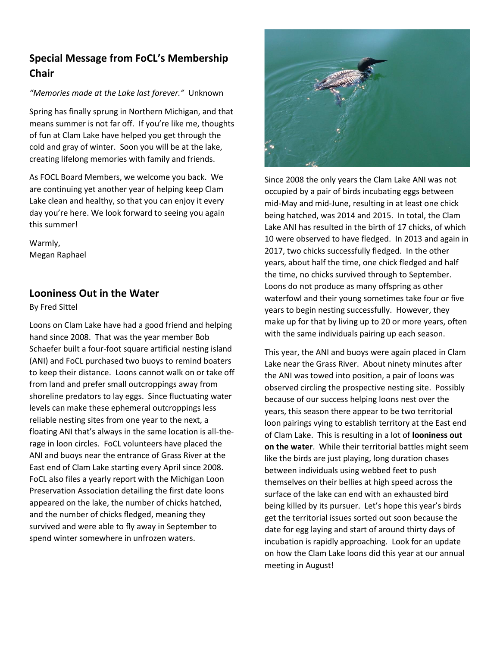# **Special Message from FoCL's Membership Chair**

#### *"Memories made at the Lake last forever."* Unknown

Spring has finally sprung in Northern Michigan, and that means summer is not far off. If you're like me, thoughts of fun at Clam Lake have helped you get through the cold and gray of winter. Soon you will be at the lake, creating lifelong memories with family and friends.

As FOCL Board Members, we welcome you back. We are continuing yet another year of helping keep Clam Lake clean and healthy, so that you can enjoy it every day you're here. We look forward to seeing you again this summer!

Warmly, Megan Raphael

### **Looniness Out in the Water**

By Fred Sittel

Loons on Clam Lake have had a good friend and helping hand since 2008. That was the year member Bob Schaefer built a four-foot square artificial nesting island (ANI) and FoCL purchased two buoys to remind boaters to keep their distance. Loons cannot walk on or take off from land and prefer small outcroppings away from shoreline predators to lay eggs. Since fluctuating water levels can make these ephemeral outcroppings less reliable nesting sites from one year to the next, a floating ANI that's always in the same location is all-therage in loon circles. FoCL volunteers have placed the ANI and buoys near the entrance of Grass River at the East end of Clam Lake starting every April since 2008. FoCL also files a yearly report with the Michigan Loon Preservation Association detailing the first date loons appeared on the lake, the number of chicks hatched, and the number of chicks fledged, meaning they survived and were able to fly away in September to spend winter somewhere in unfrozen waters.



Since 2008 the only years the Clam Lake ANI was not occupied by a pair of birds incubating eggs between mid-May and mid-June, resulting in at least one chick being hatched, was 2014 and 2015. In total, the Clam Lake ANI has resulted in the birth of 17 chicks, of which 10 were observed to have fledged. In 2013 and again in 2017, two chicks successfully fledged. In the other years, about half the time, one chick fledged and half the time, no chicks survived through to September. Loons do not produce as many offspring as other waterfowl and their young sometimes take four or five years to begin nesting successfully. However, they make up for that by living up to 20 or more years, often with the same individuals pairing up each season.

This year, the ANI and buoys were again placed in Clam Lake near the Grass River. About ninety minutes after the ANI was towed into position, a pair of loons was observed circling the prospective nesting site. Possibly because of our success helping loons nest over the years, this season there appear to be two territorial loon pairings vying to establish territory at the East end of Clam Lake. This is resulting in a lot of **looniness out on the water**. While their territorial battles might seem like the birds are just playing, long duration chases between individuals using webbed feet to push themselves on their bellies at high speed across the surface of the lake can end with an exhausted bird being killed by its pursuer. Let's hope this year's birds get the territorial issues sorted out soon because the date for egg laying and start of around thirty days of incubation is rapidly approaching. Look for an update on how the Clam Lake loons did this year at our annual meeting in August!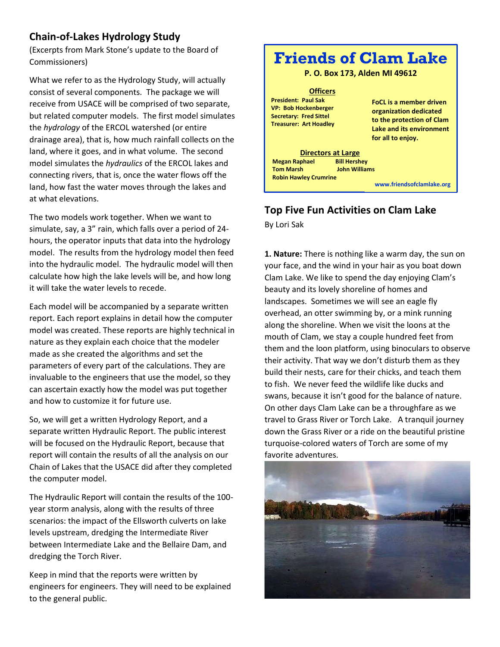## **Chain-of-Lakes Hydrology Study**

(Excerpts from Mark Stone's update to the Board of Commissioners)

What we refer to as the Hydrology Study, will actually consist of several components. The package we will receive from USACE will be comprised of two separate, but related computer models. The first model simulates the *hydrology* of the ERCOL watershed (or entire drainage area), that is, how much rainfall collects on the land, where it goes, and in what volume. The second model simulates the *hydraulics* of the ERCOL lakes and connecting rivers, that is, once the water flows off the land, how fast the water moves through the lakes and at what elevations.

The two models work together. When we want to simulate, say, a 3" rain, which falls over a period of 24 hours, the operator inputs that data into the hydrology model. The results from the hydrology model then feed into the hydraulic model. The hydraulic model will then calculate how high the lake levels will be, and how long it will take the water levels to recede.

Each model will be accompanied by a separate written report. Each report explains in detail how the computer model was created. These reports are highly technical in nature as they explain each choice that the modeler made as she created the algorithms and set the parameters of every part of the calculations. They are invaluable to the engineers that use the model, so they can ascertain exactly how the model was put together and how to customize it for future use.

So, we will get a written Hydrology Report, and a separate written Hydraulic Report. The public interest will be focused on the Hydraulic Report, because that report will contain the results of all the analysis on our Chain of Lakes that the USACE did after they completed the computer model.

The Hydraulic Report will contain the results of the 100 year storm analysis, along with the results of three scenarios: the impact of the Ellsworth culverts on lake levels upstream, dredging the Intermediate River between Intermediate Lake and the Bellaire Dam, and dredging the Torch River.

Keep in mind that the reports were written by engineers for engineers. They will need to be explained to the general public.



# **Top Five Fun Activities on Clam Lake**

By Lori Sak

**1. Nature:** There is nothing like a warm day, the sun on your face, and the wind in your hair as you boat down Clam Lake. We like to spend the day enjoying Clam's beauty and its lovely shoreline of homes and landscapes. Sometimes we will see an eagle fly overhead, an otter swimming by, or a mink running along the shoreline. When we visit the loons at the mouth of Clam, we stay a couple hundred feet from them and the loon platform, using binoculars to observe their activity. That way we don't disturb them as they build their nests, care for their chicks, and teach them to fish. We never feed the wildlife like ducks and swans, because it isn't good for the balance of nature. On other days Clam Lake can be a throughfare as we travel to Grass River or Torch Lake. A tranquil journey down the Grass River or a ride on the beautiful pristine turquoise-colored waters of Torch are some of my favorite adventures.